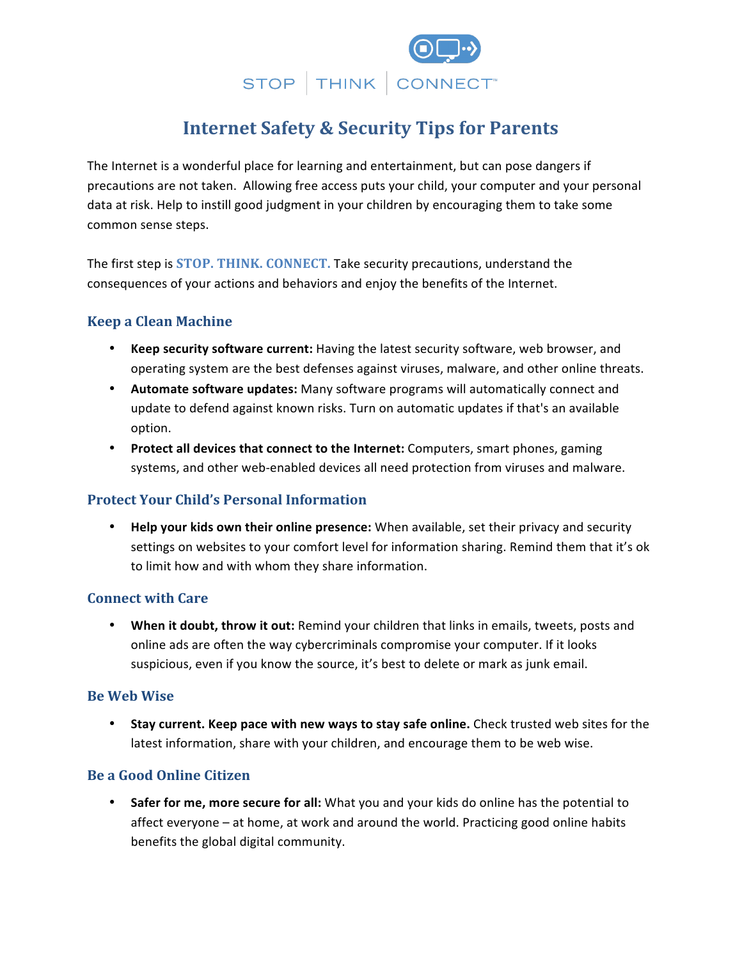

# **Internet Safety & Security Tips for Parents**

The Internet is a wonderful place for learning and entertainment, but can pose dangers if precautions are not taken. Allowing free access puts your child, your computer and your personal data at risk. Help to instill good judgment in your children by encouraging them to take some common sense steps.

The first step is **STOP. THINK. CONNECT.** Take security precautions, understand the consequences of your actions and behaviors and enjoy the benefits of the Internet.

## **Keep a Clean Machine**

- **Keep security software current:** Having the latest security software, web browser, and operating system are the best defenses against viruses, malware, and other online threats.
- Automate software updates: Many software programs will automatically connect and update to defend against known risks. Turn on automatic updates if that's an available option.
- Protect all devices that connect to the Internet: Computers, smart phones, gaming systems, and other web-enabled devices all need protection from viruses and malware.

## **Protect Your Child's Personal Information**

• **Help your kids own their online presence:** When available, set their privacy and security settings on websites to your comfort level for information sharing. Remind them that it's ok to limit how and with whom they share information.

#### **Connect with Care**

• When it doubt, throw it out: Remind your children that links in emails, tweets, posts and online ads are often the way cybercriminals compromise your computer. If it looks suspicious, even if you know the source, it's best to delete or mark as junk email.

#### **Be Web Wise**

• Stay current. Keep pace with new ways to stay safe online. Check trusted web sites for the latest information, share with your children, and encourage them to be web wise.

#### **Be a Good Online Citizen**

**Safer for me, more secure for all:** What you and your kids do online has the potential to affect everyone – at home, at work and around the world. Practicing good online habits benefits the global digital community.